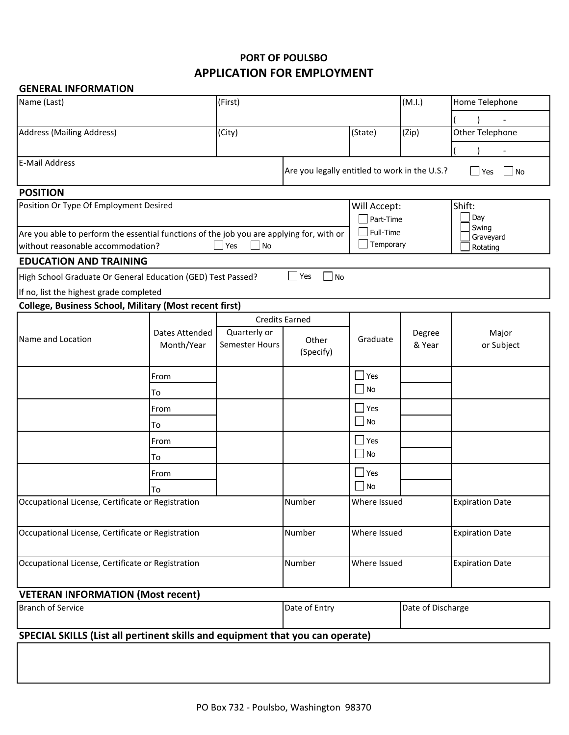## **APPLICATION FOR EMPLOYMENT PORT OF POULSBO**

## **GENERAL INFORMATION**

| Name (Last)                                                                              |                           | (First)               |                                                                               |                    | (M.I.)            | Home Telephone         |  |
|------------------------------------------------------------------------------------------|---------------------------|-----------------------|-------------------------------------------------------------------------------|--------------------|-------------------|------------------------|--|
|                                                                                          |                           |                       |                                                                               |                    |                   |                        |  |
| <b>Address (Mailing Address)</b>                                                         |                           | (City)                |                                                                               | (State)            | (Zip)             | Other Telephone        |  |
|                                                                                          |                           |                       |                                                                               |                    |                   |                        |  |
| <b>E-Mail Address</b>                                                                    |                           |                       | Are you legally entitled to work in the U.S.?<br>N <sub>O</sub><br>$\Box$ Yes |                    |                   |                        |  |
| <b>POSITION</b>                                                                          |                           |                       |                                                                               |                    |                   |                        |  |
| Position Or Type Of Employment Desired                                                   | Will Accept:<br>Part-Time |                       |                                                                               | Shift:<br>Day      |                   |                        |  |
| Are you able to perform the essential functions of the job you are applying for, with or |                           |                       | Full-Time                                                                     |                    |                   | Swing<br>Graveyard     |  |
| without reasonable accommodation?<br>$\blacksquare$ Yes<br>No                            |                           |                       |                                                                               | Temporary          |                   | Rotating               |  |
| <b>EDUCATION AND TRAINING</b>                                                            |                           |                       |                                                                               |                    |                   |                        |  |
| High School Graduate Or General Education (GED) Test Passed?                             |                           |                       | $\blacksquare$ Yes<br>$\blacksquare$ No                                       |                    |                   |                        |  |
| If no, list the highest grade completed                                                  |                           |                       |                                                                               |                    |                   |                        |  |
| <b>College, Business School, Military (Most recent first)</b>                            |                           |                       |                                                                               |                    |                   |                        |  |
|                                                                                          | Dates Attended            | Quarterly or          | <b>Credits Earned</b>                                                         |                    | Degree            | Major                  |  |
| Name and Location                                                                        | Month/Year                | <b>Semester Hours</b> | Other<br>(Specify)                                                            | Graduate           | & Year            | or Subject             |  |
|                                                                                          | From                      |                       |                                                                               | Yes                |                   |                        |  |
|                                                                                          | To                        |                       |                                                                               | $\blacksquare$ No  |                   |                        |  |
|                                                                                          | From                      |                       |                                                                               | $\blacksquare$ Yes |                   |                        |  |
|                                                                                          | To                        |                       |                                                                               | N <sub>o</sub>     |                   |                        |  |
|                                                                                          | From                      |                       |                                                                               | $\Box$ Yes         |                   |                        |  |
|                                                                                          | То                        |                       |                                                                               | $\blacksquare$ No  |                   |                        |  |
|                                                                                          | From                      |                       |                                                                               | $\blacksquare$ Yes |                   |                        |  |
|                                                                                          | То                        |                       |                                                                               | $\blacksquare$ No  |                   |                        |  |
| Occupational License, Certificate or Registration                                        |                           |                       | Number                                                                        | Where Issued       |                   | <b>Expiration Date</b> |  |
| Occupational License, Certificate or Registration                                        |                           |                       | Number                                                                        | Where Issued       |                   | <b>Expiration Date</b> |  |
| Occupational License, Certificate or Registration                                        |                           |                       | Number                                                                        | Where Issued       |                   | <b>Expiration Date</b> |  |
| <b>VETERAN INFORMATION (Most recent)</b>                                                 |                           |                       |                                                                               |                    |                   |                        |  |
| <b>Branch of Service</b>                                                                 |                           |                       | Date of Entry                                                                 |                    | Date of Discharge |                        |  |
| SPECIAL SKILLS (List all pertinent skills and equipment that you can operate)            |                           |                       |                                                                               |                    |                   |                        |  |
|                                                                                          |                           |                       |                                                                               |                    |                   |                        |  |